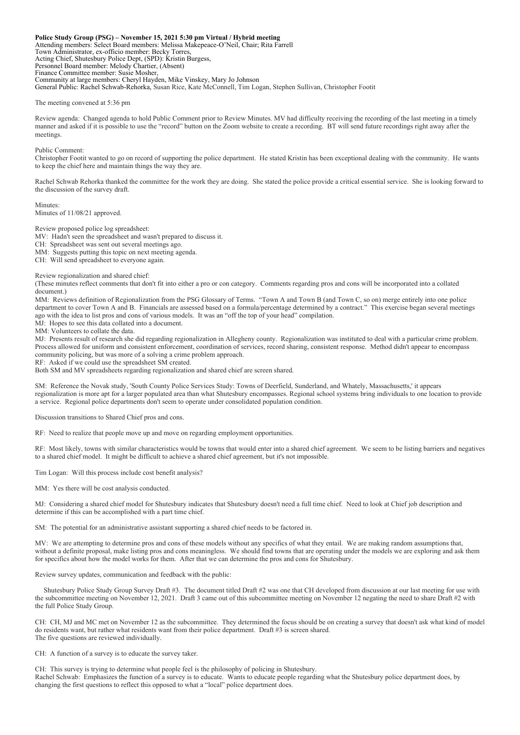**Police Study Group (PSG) – November 15, 2021 5:30 pm Virtual / Hybrid meeting** Attending members: Select Board members: Melissa Makepeace-O'Neil, Chair; Rita Farrell Town Administrator, ex-officio member: Becky Torres, Acting Chief, Shutesbury Police Dept, (SPD): Kristin Burgess, Personnel Board member: Melody Chartier, (Absent) Finance Committee member: Susie Mosher, Community at large members: Cheryl Hayden, Mike Vinskey, Mary Jo Johnson General Public: Rachel Schwab-Rehorka, Susan Rice, Kate McConnell, Tim Logan, Stephen Sullivan, Christopher Footit

The meeting convened at 5:36 pm

Review agenda: Changed agenda to hold Public Comment prior to Review Minutes. MV had difficulty receiving the recording of the last meeting in a timely manner and asked if it is possible to use the "record" button on the Zoom website to create a recording. BT will send future recordings right away after the meetings.

Public Comment:

Christopher Footit wanted to go on record of supporting the police department. He stated Kristin has been exceptional dealing with the community. He wants to keep the chief here and maintain things the way they are.

Rachel Schwab Rehorka thanked the committee for the work they are doing. She stated the police provide a critical essential service. She is looking forward to the discussion of the survey draft.

Minutes: Minutes of 11/08/21 approved.

Review proposed police log spreadsheet:

MV: Hadn't seen the spreadsheet and wasn't prepared to discuss it.

CH: Spreadsheet was sent out several meetings ago.

MM: Suggests putting this topic on next meeting agenda.

CH: Will send spreadsheet to everyone again.

Review regionalization and shared chief:

(These minutes reflect comments that don't fit into either a pro or con category. Comments regarding pros and cons will be incorporated into a collated document.)

MM: Reviews definition of Regionalization from the PSG Glossary of Terms. "Town A and Town B (and Town C, so on) merge entirely into one police department to cover Town A and B. Financials are assessed based on a formula/percentage determined by a contract." This exercise began several meetings ago with the idea to list pros and cons of various models. It was an "off the top of your head" compilation.

MJ: Hopes to see this data collated into a document.

MM: Volunteers to collate the data.

MJ: Presents result of research she did regarding regionalization in Allegheny county. Regionalization was instituted to deal with a particular crime problem. Process allowed for uniform and consistent enforcement, coordination of services, record sharing, consistent response. Method didn't appear to encompass community policing, but was more of a solving a crime problem approach.

RF: Asked if we could use the spreadsheet SM created.

Both SM and MV spreadsheets regarding regionalization and shared chief are screen shared.

SM: Reference the Novak study, 'South County Police Services Study: Towns of Deerfield, Sunderland, and Whately, Massachusetts,' it appears regionalization is more apt for a larger populated area than what Shutesbury encompasses. Regional school systems bring individuals to one location to provide a service. Regional police departments don't seem to operate under consolidated population condition.

Discussion transitions to Shared Chief pros and cons.

RF: Need to realize that people move up and move on regarding employment opportunities.

RF: Most likely, towns with similar characteristics would be towns that would enter into a shared chief agreement. We seem to be listing barriers and negatives to a shared chief model. It might be difficult to achieve a shared chief agreement, but it's not impossible.

Tim Logan: Will this process include cost benefit analysis?

MM: Yes there will be cost analysis conducted.

MJ: Considering a shared chief model for Shutesbury indicates that Shutesbury doesn't need a full time chief. Need to look at Chief job description and determine if this can be accomplished with a part time chief.

SM: The potential for an administrative assistant supporting a shared chief needs to be factored in.

MV: We are attempting to determine pros and cons of these models without any specifics of what they entail. We are making random assumptions that, without a definite proposal, make listing pros and cons meaningless. We should find towns that are operating under the models we are exploring and ask them for specifics about how the model works for them. After that we can determine the pros and cons for Shutesbury.

Review survey updates, communication and feedback with the public:

 Shutesbury Police Study Group Survey Draft #3. The document titled Draft #2 was one that CH developed from discussion at our last meeting for use with the subcommittee meeting on November 12, 2021. Draft 3 came out of this subcommittee meeting on November 12 negating the need to share Draft #2 with the full Police Study Group.

CH: CH, MJ and MC met on November 12 as the subcommittee. They determined the focus should be on creating a survey that doesn't ask what kind of model do residents want, but rather what residents want from their police department. Draft #3 is screen shared. The five questions are reviewed individually.

CH: A function of a survey is to educate the survey taker.

CH: This survey is trying to determine what people feel is the philosophy of policing in Shutesbury. Rachel Schwab: Emphasizes the function of a survey is to educate. Wants to educate people regarding what the Shutesbury police department does, by changing the first questions to reflect this opposed to what a "local" police department does.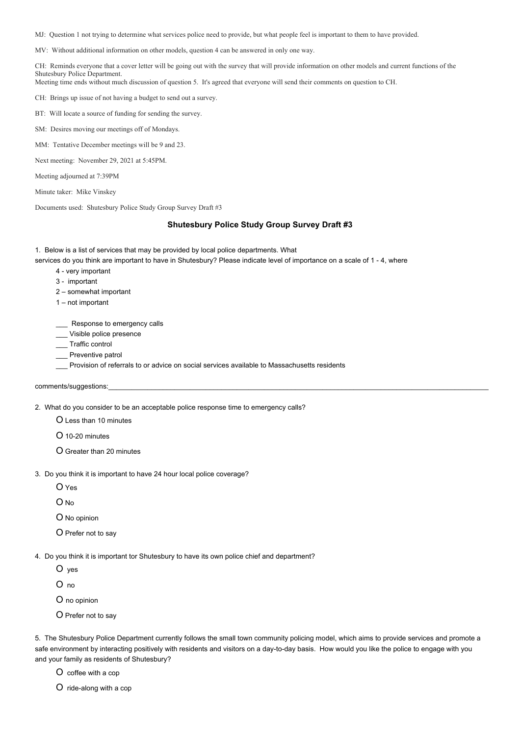MJ: Question 1 not trying to determine what services police need to provide, but what people feel is important to them to have provided.

MV: Without additional information on other models, question 4 can be answered in only one way.

CH: Reminds everyone that a cover letter will be going out with the survey that will provide information on other models and current functions of the Shutesbury Police Department.

Meeting time ends without much discussion of question 5. It's agreed that everyone will send their comments on question to CH.

CH: Brings up issue of not having a budget to send out a survey.

BT: Will locate a source of funding for sending the survey.

SM: Desires moving our meetings off of Mondays.

MM: Tentative December meetings will be 9 and 23.

Next meeting: November 29, 2021 at 5:45PM.

Meeting adjourned at 7:39PM

Minute taker: Mike Vinskey

Documents used: Shutesbury Police Study Group Survey Draft #3

## **Shutesbury Police Study Group Survey Draft #3**

1. Below is a list of services that may be provided by local police departments. What

services do you think are important to have in Shutesbury? Please indicate level of importance on a scale of 1 - 4, where

- 4 very important
- 3 important
- 2 somewhat important
- 1 not important

Response to emergency calls

- \_\_\_ Visible police presence
- \_\_\_ Traffic control
- \_\_\_ Preventive patrol
- \_\_\_ Provision of referrals to or advice on social services available to Massachusetts residents

comments/suggestions:

2. What do you consider to be an acceptable police response time to emergency calls?

О Less than 10 minutes

- О 10-20 minutes
- О Greater than 20 minutes
- 3. Do you think it is important to have 24 hour local police coverage?
	- О Yes
	- О No
	- О No opinion
	- О Prefer not to say

4. Do you think it is important tor Shutesbury to have its own police chief and department?

О yes

О no

О no opinion

О Prefer not to say

5. The Shutesbury Police Department currently follows the small town community policing model, which aims to provide services and promote a safe environment by interacting positively with residents and visitors on a day-to-day basis. How would you like the police to engage with you and your family as residents of Shutesbury?

О coffee with a cop

О ride-along with a cop